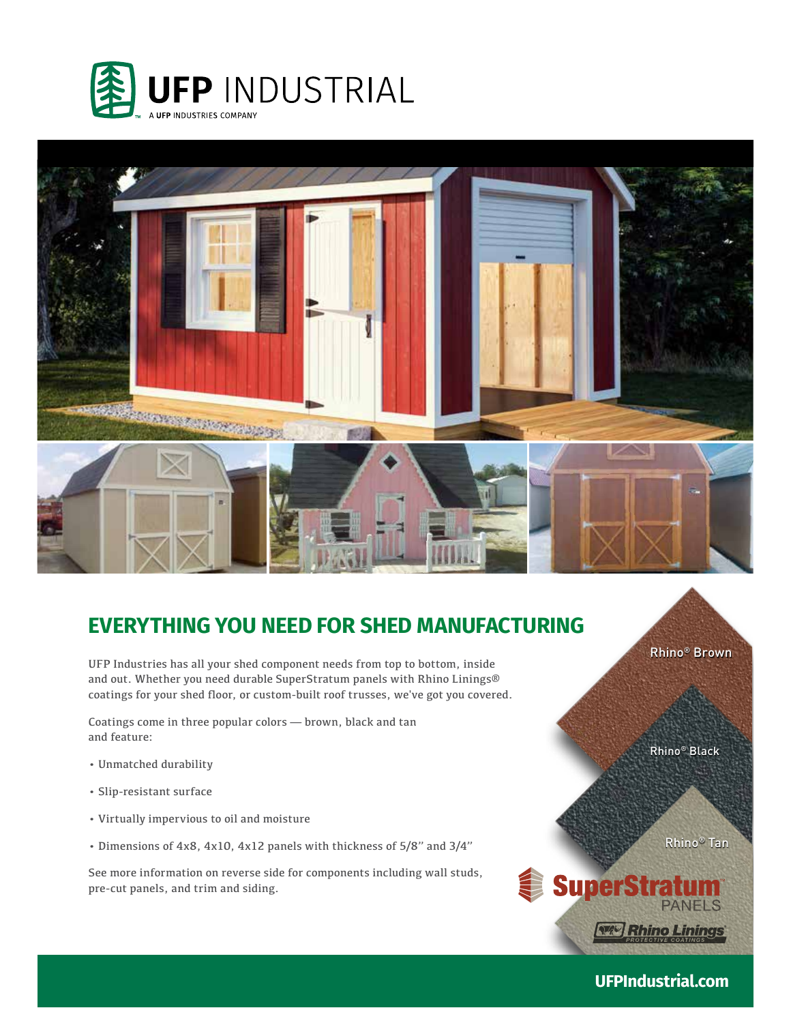



# **EVERYTHING YOU NEED FOR SHED MANUFACTURING**

UFP Industries has all your shed component needs from top to bottom, inside and out. Whether you need durable SuperStratum panels with Rhino Linings® coatings for your shed floor, or custom-built roof trusses, we've got you covered.

Coatings come in three popular colors — brown, black and tan and feature:

- Unmatched durability
- Slip-resistant surface

**UFPI.COM**

- Virtually impervious to oil and moisture
- Dimensions of 4x8, 4x10, 4x12 panels with thickness of 5/8" and 3/4"

See more information on reverse side for components including wall studs, pre-cut panels, and trim and siding.

Rhino® Brown

Rhino® Black

Rhino® Tan



 **UFPIndustrial.com**